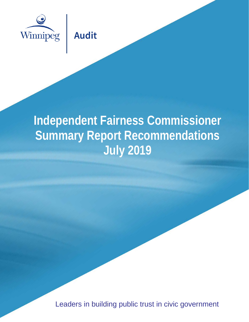

**Audit** 

# **Independent Fairness Commissioner Summary Report Recommendations July 2019**

Leaders in building public trust in civic government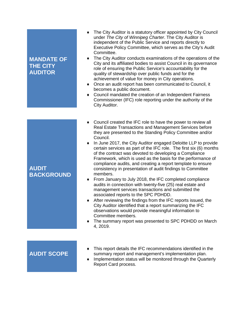# **MANDATE OF THE CITY AUDITOR**

- ♦ The City Auditor is a statutory officer appointed by City Council under *The City of Winnipeg Charter*. The City Auditor is independent of the Public Service and reports directly to Executive Policy Committee, which serves as the City's Audit Committee.
- ♦ The City Auditor conducts examinations of the operations of the City and its affiliated bodies to assist Council in its governance role of ensuring the Public Service's accountability for the quality of stewardship over public funds and for the achievement of value for money in City operations.
- ♦ Once an audit report has been communicated to Council, it becomes a public document.
- ♦ Council mandated the creation of an Independent Fairness Commissioner (IFC) role reporting under the authority of the City Auditor.

# **AUDIT BACKGROUND**

- ♦ Council created the IFC role to have the power to review all Real Estate Transactions and Management Services before they are presented to the Standing Policy Committee and/or Council.
- ♦ In June 2017, the City Auditor engaged Deloitte LLP to provide certain services as part of the IFC role. The first six (6) months of the contract was devoted to developing a Compliance Framework, which is used as the basis for the performance of compliance audits, and creating a report template to ensure consistency in presentation of audit findings to Committee members.
- ♦ From January to July 2018, the IFC completed compliance audits in connection with twenty-five (25) real estate and management services transactions and submitted the associated reports to the SPC PDHDD.
- ♦ After reviewing the findings from the IFC reports issued, the City Auditor identified that a report summarizing the IFC observations would provide meaningful information to Committee members.
- ♦ The summary report was presented to SPC PDHDD on March 4, 2019.

# **AUDIT SCOPE**

- ♦ This report details the IFC recommendations identified in the summary report and management's implementation plan.
- ♦ Implementation status will be monitored through the Quarterly Report Card process.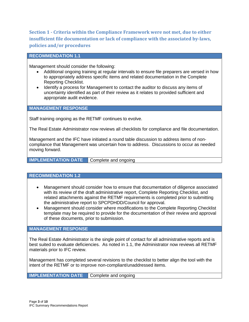**Section 1 - Criteria within the Compliance Framework were not met, due to either insufficient file documentation or lack of compliance with the associated by-laws, policies and/or procedures**

#### **RECOMMENDATION 1.1**

Management should consider the following:

- Additional ongoing training at regular intervals to ensure file preparers are versed in how to appropriately address specific items and related documentation in the Complete Reporting Checklist.
- Identify a process for Management to contact the auditor to discuss any items of uncertainty identified as part of their review as it relates to provided sufficient and appropriate audit evidence.

#### **MANAGEMENT RESPONSE**

Staff training ongoing as the RETMF continues to evolve.

The Real Estate Administrator now reviews all checklists for compliance and file documentation.

Management and the IFC have initiated a round table discussion to address items of noncompliance that Management was uncertain how to address. Discussions to occur as needed moving forward.

**IMPLEMENTATION DATE** Complete and ongoing

# **RECOMMENDATION 1.2**

- Management should consider how to ensure that documentation of diligence associated with its review of the draft administrative report, Complete Reporting Checklist, and related attachments against the RETMF requirements is completed prior to submitting the administrative report to SPCPDHDD/Council for approval.
- Management should consider where modifications to the Complete Reporting Checklist template may be required to provide for the documentation of their review and approval of these documents, prior to submission.

#### **MANAGEMENT RESPONSE**

The Real Estate Administrator is the single point of contact for all administrative reports and is best suited to evaluate deficiencies. As noted in 1.1, the Administrator now reviews all RETMF materials prior to IFC review.

Management has completed several revisions to the checklist to better align the tool with the intent of the RETMF or to improve non-compliant/unaddressed items.

**IMPLEMENTATION DATE** Complete and ongoing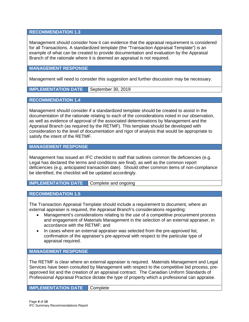# **RECOMMENDATION 1.3**

Management should consider how it can evidence that the appraisal requirement is considered for all Transactions. A standardized template (the "Transaction Appraisal Template") is an example of what can be created to provide documentation and evaluation by the Appraisal Branch of the rationale where it is deemed an appraisal is not required.

#### **MANAGEMENT RESPONSE**

Management will need to consider this suggestion and further discussion may be necessary.

**IMPLEMENTATION DATE** September 30, 2019

**RECOMMENDATION 1.4**

Management should consider if a standardized template should be created to assist in the documentation of the rationale relating to each of the considerations noted in our observation, as well as evidence of approval of the associated determinations by Management and the Appraisal Branch (as required by the RETMF). This template should be developed with consideration to the level of documentation and rigor of analysis that would be appropriate to satisfy the intent of the RETMF.

# **MANAGEMENT RESPONSE**

Management has issued an IFC checklist to staff that outlines common file deficiencies (e.g. Legal has declared the terms and conditions are final), as well as the common report deficiencies (e.g. anticipated transaction date). Should other common items of non-compliance be identified, the checklist will be updated accordingly.

**IMPLEMENTATION DATE** Complete and ongoing

#### **RECOMMENDATION 1.5**

The Transaction Appraisal Template should include a requirement to document, where an external appraiser is required, the Appraisal Branch's considerations regarding:

- Management's considerations relating to the use of a competitive procurement process and engagement of Materials Management in the selection of an external appraiser, in accordance with the RETMF; and
- In cases where an external appraiser was selected from the pre-approved list, confirmation of the appraiser's pre-approval with respect to the particular type of appraisal required.

#### **MANAGEMENT RESPONSE**

The RETMF is clear where an external appraiser is required. Materials Management and Legal Services have been consulted by Management with respect to the competitive bid process, preapproved list and the creation of an appraisal contract. The Canadian Uniform Standards of Professional Appraisal Practice dictate the type of property which a professional can appraise.

**IMPLEMENTATION DATE** Complete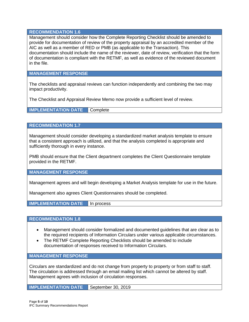## **RECOMMENDATION 1.6**

Management should consider how the Complete Reporting Checklist should be amended to provide for documentation of review of the property appraisal by an accredited member of the AIC as well as a member of RED or PMB (as applicable to the Transaction). This documentation should include the name of the reviewer, date of review, verification that the form of documentation is compliant with the RETMF, as well as evidence of the reviewed document in the file.

# **MANAGEMENT RESPONSE**

The checklists and appraisal reviews can function independently and combining the two may impact productivity.

The Checklist and Appraisal Review Memo now provide a sufficient level of review.

**IMPLEMENTATION DATE** Complete

# **RECOMMENDATION 1.7**

Management should consider developing a standardized market analysis template to ensure that a consistent approach is utilized, and that the analysis completed is appropriate and sufficiently thorough in every instance.

PMB should ensure that the Client department completes the Client Questionnaire template provided in the RETMF.

## **MANAGEMENT RESPONSE**

Management agrees and will begin developing a Market Analysis template for use in the future.

Management also agrees Client Questionnaires should be completed.

**IMPLEMENTATION DATE** In process

# **RECOMMENDATION 1.8**

- Management should consider formalized and documented guidelines that are clear as to the required recipients of Information Circulars under various applicable circumstances.
- The RETMF Complete Reporting Checklists should be amended to include documentation of responses received to Information Circulars.

**MANAGEMENT RESPONSE**

Circulars are standardized and do not change from property to property or from staff to staff. The circulation is addressed through an email mailing list which cannot be altered by staff. Management agrees with inclusion of circulation responses.

**IMPLEMENTATION DATE** September 30, 2019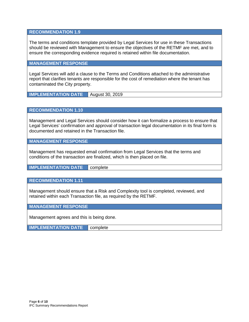# **RECOMMENDATION 1.9**

The terms and conditions template provided by Legal Services for use in these Transactions should be reviewed with Management to ensure the objectives of the RETMF are met, and to ensure the corresponding evidence required is retained within file documentation.

# **MANAGEMENT RESPONSE**

Legal Services will add a clause to the Terms and Conditions attached to the administrative report that clarifies tenants are responsible for the cost of remediation where the tenant has contaminated the City property.

**IMPLEMENTATION DATE** August 30, 2019

**RECOMMENDATION 1.10**

Management and Legal Services should consider how it can formalize a process to ensure that Legal Services' confirmation and approval of transaction legal documentation in its final form is documented and retained in the Transaction file.

**MANAGEMENT RESPONSE**

Management has requested email confirmation from Legal Services that the terms and conditions of the transaction are finalized, which is then placed on file.

**IMPLEMENTATION DATE** complete

# **RECOMMENDATION 1.11**

Management should ensure that a Risk and Complexity tool is completed, reviewed, and retained within each Transaction file, as required by the RETMF.

**MANAGEMENT RESPONSE**

Management agrees and this is being done.

**IMPLEMENTATION DATE** complete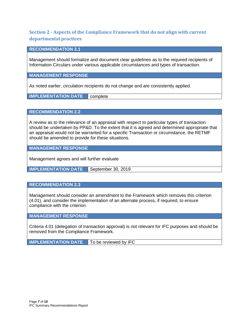# **Section 2 - Aspects of the Compliance Framework that do not align with current departmental practices**

#### **RECOMMENDATION 2.1**

Management should formalize and document clear guidelines as to the required recipients of Information Circulars under various applicable circumstances and types of transaction.

**MANAGEMENT RESPONSE**

As noted earlier, circulation recipients do not change and are consistently applied.

**IMPLEMENTATION DATE** complete

**RECOMMENDATION 2.2**

A review as to the relevance of an appraisal with respect to particular types of transaction should be undertaken by PP&D. To the extent that it is agreed and determined appropriate that an appraisal would not be warranted for a specific Transaction or circumstance, the RETMF should be amended to provide for these situations.

**MANAGEMENT RESPONSE**

Management agrees and will further evaluate

**IMPLEMENTATION DATE** September 30, 2019

# **RECOMMENDATION 2.3**

Management should consider an amendment to the Framework which removes this criterion (4.01), and consider the implementation of an alternate process, if required, to ensure compliance with the criterion.

# **MANAGEMENT RESPONSE**

Criteria 4.01 (delegation of transaction approval) is not relevant for IFC purposes and should be removed from the Compliance Framework.

**IMPLEMENTATION DATE** To be reviewed by IFC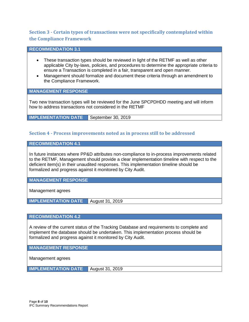# **Section 3 - Certain types of transactions were not specifically contemplated within the Compliance Framework**

# **RECOMMENDATION 3.1**

- These transaction types should be reviewed in light of the RETMF as well as other applicable City by-laws, policies, and procedures to determine the appropriate criteria to ensure a Transaction is completed in a fair, transparent and open manner.
- Management should formalize and document these criteria through an amendment to the Compliance Framework.

**MANAGEMENT RESPONSE**

Two new transaction types will be reviewed for the June SPCPDHDD meeting and will inform how to address transactions not considered in the RETMF

**IMPLEMENTATION DATE** | September 30, 2019

# **Section 4 - Process improvements noted as in process still to be addressed**

**RECOMMENDATION 4.1**

In future instances where PP&D attributes non-compliance to in-process improvements related to the RETMF, Management should provide a clear implementation timeline with respect to the deficient item(s) in their unaudited responses. This implementation timeline should be formalized and progress against it monitored by City Audit.

**MANAGEMENT RESPONSE**

Management agrees

**IMPLEMENTATION DATE** | August 31, 2019

# **RECOMMENDATION 4.2**

A review of the current status of the Tracking Database and requirements to complete and implement the database should be undertaken. This implementation process should be formalized and progress against it monitored by City Audit.

**MANAGEMENT RESPONSE**

Management agrees

**IMPLEMENTATION DATE** August 31, 2019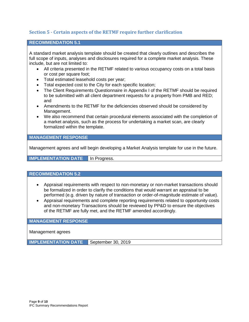# **Section 5 - Certain aspects of the RETMF require further clarification**

## **RECOMMENDATION 5.1**

A standard market analysis template should be created that clearly outlines and describes the full scope of inputs, analyses and disclosures required for a complete market analysis. These include, but are not limited to:

- All criteria presented in the RETMF related to various occupancy costs on a total basis or cost per square foot;
- Total estimated leasehold costs per year;
- Total expected cost to the City for each specific location;
- The Client Requirements Questionnaire in Appendix I of the RETMF should be required to be submitted with all client department requests for a property from PMB and RED; and
- Amendments to the RETMF for the deficiencies observed should be considered by Management.
- We also recommend that certain procedural elements associated with the completion of a market analysis, such as the process for undertaking a market scan, are clearly formalized within the template.

# **MANAGEMENT RESPONSE**

Management agrees and will begin developing a Market Analysis template for use in the future.

**IMPLEMENTATION DATE In Progress.** 

#### **RECOMMENDATION 5.2**

- Appraisal requirements with respect to non-monetary or non-market transactions should be formalized in order to clarify the conditions that would warrant an appraisal to be performed (e.g. driven by nature of transaction or order-of-magnitude estimate of value).
- Appraisal requirements and complete reporting requirements related to opportunity costs and non-monetary Transactions should be reviewed by PP&D to ensure the objectives of the RETMF are fully met, and the RETMF amended accordingly.

**MANAGEMENT RESPONSE**

Management agrees

**IMPLEMENTATION DATE** September 30, 2019